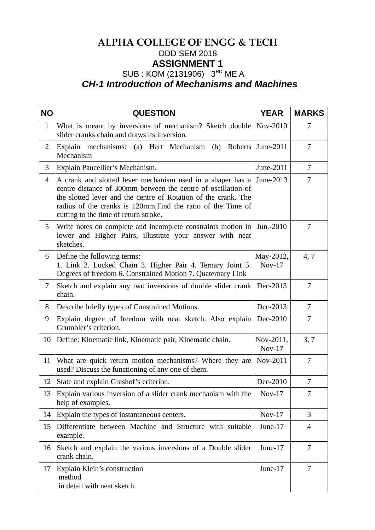## **ALPHA COLLEGE OF ENGG & TECH** ODD SEM 2018 **ASSIGNMENT 1** SUB : KOM (2131906) 3<sup>RD</sup> ME A *CH-1 Introduction of Mechanisms and Machines*

| <b>NO</b>      | <b>QUESTION</b>                                                                                                                                                                                                                                                                                        | <b>YEAR</b>           | <b>MARKS</b>   |
|----------------|--------------------------------------------------------------------------------------------------------------------------------------------------------------------------------------------------------------------------------------------------------------------------------------------------------|-----------------------|----------------|
| $\mathbf{1}$   | What is meant by inversions of mechanism? Sketch double<br>slider cranks chain and draws its inversion.                                                                                                                                                                                                | Nov-2010              | 7              |
| $\overline{2}$ | Explain mechanisms:<br>(a) Hart Mechanism<br>(b)<br>Roberts<br>Mechanism                                                                                                                                                                                                                               | June-2011             | 7              |
| 3              | Explain Paucellier's Mechanism.                                                                                                                                                                                                                                                                        | June-2011             | $\overline{7}$ |
| 4              | A crank and slotted lever mechanism used in a shaper has a<br>centre distance of 300mm between the centre of oscillation of<br>the slotted lever and the centre of Rotation of the crank. The<br>radius of the cranks is 120mm. Find the ratio of the Time of<br>cutting to the time of return stroke. | June-2013             | 7              |
| 5              | Write notes on complete and incomplete constraints motion in<br>lower and Higher Pairs, illustrate your answer with neat<br>sketches.                                                                                                                                                                  | Jun.-2010             | 7              |
| 6              | Define the following terms:<br>1. Link 2. Locked Chain 3. Higher Pair 4. Ternary Joint 5.<br>Degrees of freedom 6. Constrained Motion 7. Quaternary Link                                                                                                                                               | May-2012,<br>$Nov-17$ | 4,7            |
| $\overline{7}$ | Sketch and explain any two inversions of double slider crank<br>chain.                                                                                                                                                                                                                                 | Dec-2013              | 7              |
| 8              | Describe briefly types of Constrained Motions.                                                                                                                                                                                                                                                         | Dec-2013              | 7              |
| 9              | Explain degree of freedom with neat sketch. Also explain<br>Grumbler's criterion.                                                                                                                                                                                                                      | Dec-2010              | 7              |
| 10             | Define: Kinematic link, Kinematic pair, Kinematic chain.                                                                                                                                                                                                                                               | Nov-2011,<br>$Nov-17$ | 3, 7           |
| 11             | What are quick return motion mechanisms? Where they are<br>used? Discuss the functioning of any one of them.                                                                                                                                                                                           | Nov-2011              | 7              |
| 12             | State and explain Grashof's criterion.                                                                                                                                                                                                                                                                 | Dec-2010              | 7              |
| 13             | Explain various inversion of a slider crank mechanism with the<br>help of examples.                                                                                                                                                                                                                    | $Nov-17$              | 7              |
| 14             | Explain the types of instantaneous centers.                                                                                                                                                                                                                                                            | $Nov-17$              | 3              |
| 15             | Differentiate between Machine and Structure with suitable<br>example.                                                                                                                                                                                                                                  | June-17               | $\overline{4}$ |
| 16             | Sketch and explain the various inversions of a Double slider<br>crank chain.                                                                                                                                                                                                                           | June-17               | $\overline{7}$ |
| 17             | Explain Klein's construction<br>method<br>in detail with neat sketch.                                                                                                                                                                                                                                  | June-17               | 7              |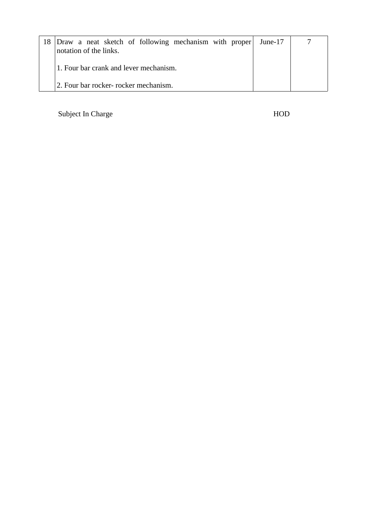| Draw a neat sketch of following mechanism with proper June-17<br>notation of the links. |  |
|-----------------------------------------------------------------------------------------|--|
| 1. Four bar crank and lever mechanism.                                                  |  |
| 2. Four bar rocker- rocker mechanism.                                                   |  |

Subject In Charge HOD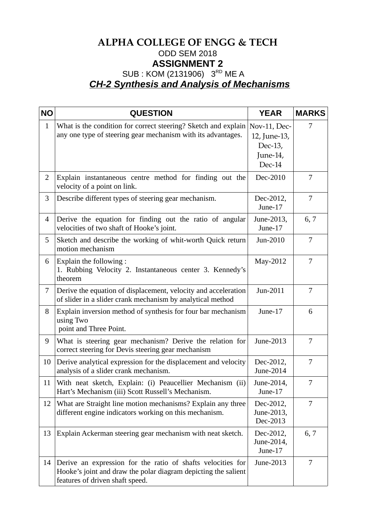## **ALPHA COLLEGE OF ENGG & TECH** ODD SEM 2018 **ASSIGNMENT 2** SUB : KOM (2131906) 3RD ME A *CH-2 Synthesis and Analysis of Mechanisms*

| <b>NO</b>      | <b>QUESTION</b>                                                                                                                                                  | <b>YEAR</b>                                                   | <b>MARKS</b> |
|----------------|------------------------------------------------------------------------------------------------------------------------------------------------------------------|---------------------------------------------------------------|--------------|
| $\mathbf{1}$   | What is the condition for correct steering? Sketch and explain<br>any one type of steering gear mechanism with its advantages.                                   | Nov-11, Dec-<br>12, June-13,<br>Dec-13,<br>June-14,<br>Dec-14 | 7            |
| $\overline{2}$ | Explain instantaneous centre method for finding out the<br>velocity of a point on link.                                                                          | Dec-2010                                                      | 7            |
| 3              | Describe different types of steering gear mechanism.                                                                                                             | Dec-2012,<br>June-17                                          | 7            |
| 4              | Derive the equation for finding out the ratio of angular<br>velocities of two shaft of Hooke's joint.                                                            | June-2013,<br>June-17                                         | 6, 7         |
| 5              | Sketch and describe the working of whit-worth Quick return<br>motion mechanism                                                                                   | Jun-2010                                                      | 7            |
| 6              | Explain the following:<br>1. Rubbing Velocity 2. Instantaneous center 3. Kennedy's<br>theorem                                                                    | May-2012                                                      | 7            |
| 7              | Derive the equation of displacement, velocity and acceleration<br>of slider in a slider crank mechanism by analytical method                                     | Jun-2011                                                      | 7            |
| 8              | Explain inversion method of synthesis for four bar mechanism<br>using Two<br>point and Three Point.                                                              | June-17                                                       | 6            |
| 9              | What is steering gear mechanism? Derive the relation for<br>correct steering for Devis steering gear mechanism                                                   | June-2013                                                     | 7            |
| 10             | Derive analytical expression for the displacement and velocity<br>analysis of a slider crank mechanism.                                                          | Dec-2012,<br>June-2014                                        | 7            |
| 11             | With neat sketch, Explain: (i) Peaucellier Mechanism (ii)<br>Hart's Mechanism (iii) Scott Russell's Mechanism.                                                   | June-2014,<br>June-17                                         | 7            |
| 12             | What are Straight line motion mechanisms? Explain any three<br>different engine indicators working on this mechanism.                                            | Dec-2012,<br>June-2013,<br>Dec-2013                           | 7            |
| 13             | Explain Ackerman steering gear mechanism with neat sketch.                                                                                                       | Dec-2012,<br>June-2014,<br>June-17                            | 6, 7         |
| 14             | Derive an expression for the ratio of shafts velocities for<br>Hooke's joint and draw the polar diagram depicting the salient<br>features of driven shaft speed. | June-2013                                                     | 7            |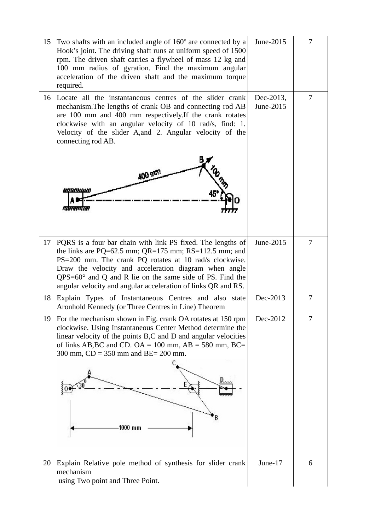| 15 | Two shafts with an included angle of $160^\circ$ are connected by a<br>Hook's joint. The driving shaft runs at uniform speed of 1500<br>rpm. The driven shaft carries a flywheel of mass 12 kg and<br>100 mm radius of gyration. Find the maximum angular<br>acceleration of the driven shaft and the maximum torque<br>required.                                               | June-2015              | 7 |
|----|---------------------------------------------------------------------------------------------------------------------------------------------------------------------------------------------------------------------------------------------------------------------------------------------------------------------------------------------------------------------------------|------------------------|---|
| 16 | Locate all the instantaneous centres of the slider crank<br>mechanism. The lengths of crank OB and connecting rod AB<br>are 100 mm and 400 mm respectively. If the crank rotates<br>clockwise with an angular velocity of 10 rad/s, find: 1.<br>Velocity of the slider A, and 2. Angular velocity of the<br>connecting rod AB.                                                  | Dec-2013,<br>June-2015 | 7 |
|    | <b>400 mm</b><br><u>ayammuo</u>                                                                                                                                                                                                                                                                                                                                                 |                        |   |
| 17 | PQRS is a four bar chain with link PS fixed. The lengths of<br>the links are PQ=62.5 mm; $QR=175$ mm; $RS=112.5$ mm; and<br>PS=200 mm. The crank PQ rotates at 10 rad/s clockwise.<br>Draw the velocity and acceleration diagram when angle<br>$QPS=60^\circ$ and Q and R lie on the same side of PS. Find the<br>angular velocity and angular acceleration of links QR and RS. | June-2015              | 7 |
| 18 | Explain Types of Instantaneous Centres and also state<br>Aronhold Kennedy (or Three Centres in Line) Theorem                                                                                                                                                                                                                                                                    | Dec-2013               | 7 |
| 19 | For the mechanism shown in Fig. crank OA rotates at 150 rpm<br>clockwise. Using Instantaneous Center Method determine the<br>linear velocity of the points B,C and D and angular velocities<br>of links AB, BC and CD. OA = $100$ mm, AB = $580$ mm, BC=<br>300 mm, $CD = 350$ mm and $BE = 200$ mm.<br>1000 mm                                                                 | Dec-2012               |   |
| 20 | Explain Relative pole method of synthesis for slider crank<br>mechanism<br>using Two point and Three Point.                                                                                                                                                                                                                                                                     | June-17                | 6 |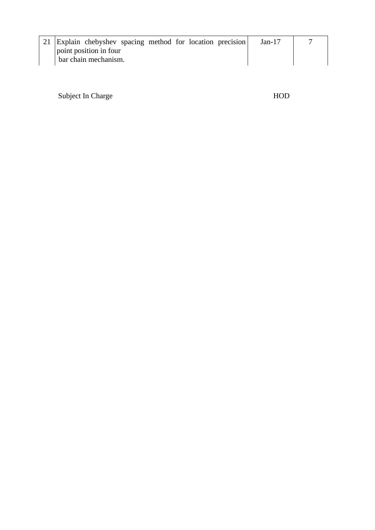| 21 Explain chebyshev spacing method for location precision | Jan-17 |  |
|------------------------------------------------------------|--------|--|
| point position in four                                     |        |  |
| bar chain mechanism.                                       |        |  |

Subject In Charge HOD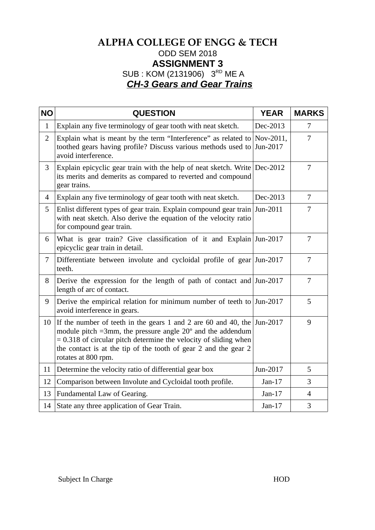## **ALPHA COLLEGE OF ENGG & TECH** ODD SEM 2018 **ASSIGNMENT 3** SUB : KOM (2131906) 3<sup>RD</sup> ME A *CH-3 Gears and Gear Trains*

| <b>NO</b>      | <b>QUESTION</b>                                                                                                                                                                                                                                                                                                | <b>YEAR</b> | <b>MARKS</b>   |
|----------------|----------------------------------------------------------------------------------------------------------------------------------------------------------------------------------------------------------------------------------------------------------------------------------------------------------------|-------------|----------------|
| $\mathbf{1}$   | Explain any five terminology of gear tooth with neat sketch.                                                                                                                                                                                                                                                   | Dec-2013    | 7              |
| $\overline{2}$ | Explain what is meant by the term "Interference" as related to Nov-2011,<br>toothed gears having profile? Discuss various methods used to $\text{Jun-2017}$<br>avoid interference.                                                                                                                             |             | 7              |
| 3              | Explain epicyclic gear train with the help of neat sketch. Write $Dec-2012$<br>its merits and demerits as compared to reverted and compound<br>gear trains.                                                                                                                                                    |             | 7              |
| $\overline{4}$ | Explain any five terminology of gear tooth with neat sketch.                                                                                                                                                                                                                                                   | Dec-2013    | $\overline{7}$ |
| 5              | Enlist different types of gear train. Explain compound gear train Jun-2011<br>with neat sketch. Also derive the equation of the velocity ratio<br>for compound gear train.                                                                                                                                     |             | 7              |
| 6              | What is gear train? Give classification of it and Explain Jun-2017<br>epicyclic gear train in detail.                                                                                                                                                                                                          |             | 7              |
| 7              | Differentiate between involute and cycloidal profile of gear Jun-2017<br>teeth.                                                                                                                                                                                                                                |             | 7              |
| 8              | Derive the expression for the length of path of contact and Jun-2017<br>length of arc of contact.                                                                                                                                                                                                              |             | 7              |
| 9              | Derive the empirical relation for minimum number of teeth to Jun-2017<br>avoid interference in gears.                                                                                                                                                                                                          |             | 5              |
| 10             | If the number of teeth in the gears 1 and 2 are 60 and 40, the Jun-2017<br>module pitch =3mm, the pressure angle $20^{\circ}$ and the addendum<br>$= 0.318$ of circular pitch determine the velocity of sliding when<br>the contact is at the tip of the tooth of gear 2 and the gear 2<br>rotates at 800 rpm. |             | 9              |
| 11             | Determine the velocity ratio of differential gear box                                                                                                                                                                                                                                                          | Jun-2017    | 5              |
| 12             | Comparison between Involute and Cycloidal tooth profile.                                                                                                                                                                                                                                                       | $Jan-17$    | 3              |
| 13             | Fundamental Law of Gearing.                                                                                                                                                                                                                                                                                    | $Jan-17$    | $\overline{4}$ |
| 14             | State any three application of Gear Train.                                                                                                                                                                                                                                                                     | $Jan-17$    | 3              |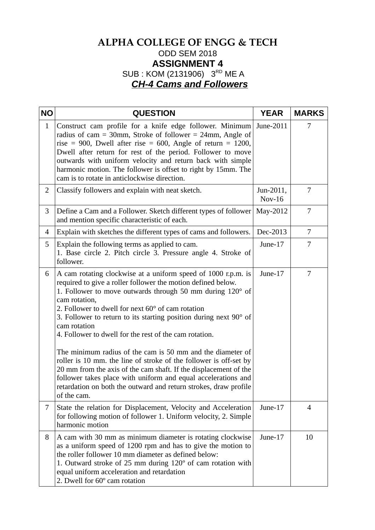## **ALPHA COLLEGE OF ENGG & TECH** ODD SEM 2018 **ASSIGNMENT 4** SUB : KOM (2131906) 3RD ME A *CH-4 Cams and Followers*

| <b>NO</b>    | <b>QUESTION</b>                                                                                                                                                                                                                                                                                                                                                                                                                                                                                                                                                                                                                                                                                                                                                                            | <b>YEAR</b>           | <b>MARKS</b>   |
|--------------|--------------------------------------------------------------------------------------------------------------------------------------------------------------------------------------------------------------------------------------------------------------------------------------------------------------------------------------------------------------------------------------------------------------------------------------------------------------------------------------------------------------------------------------------------------------------------------------------------------------------------------------------------------------------------------------------------------------------------------------------------------------------------------------------|-----------------------|----------------|
| $\mathbf{1}$ | Construct cam profile for a knife edge follower. Minimum<br>radius of cam = 30mm, Stroke of follower = 24mm, Angle of<br>rise = 900, Dwell after rise = 600, Angle of return = 1200,<br>Dwell after return for rest of the period. Follower to move<br>outwards with uniform velocity and return back with simple<br>harmonic motion. The follower is offset to right by 15mm. The<br>cam is to rotate in anticlockwise direction.                                                                                                                                                                                                                                                                                                                                                         | June-2011             | 7              |
| 2            | Classify followers and explain with neat sketch.                                                                                                                                                                                                                                                                                                                                                                                                                                                                                                                                                                                                                                                                                                                                           | Jun-2011,<br>$Nov-16$ | 7              |
| 3            | Define a Cam and a Follower. Sketch different types of follower<br>and mention specific characteristic of each.                                                                                                                                                                                                                                                                                                                                                                                                                                                                                                                                                                                                                                                                            | May-2012              | 7              |
| 4            | Explain with sketches the different types of cams and followers.                                                                                                                                                                                                                                                                                                                                                                                                                                                                                                                                                                                                                                                                                                                           | Dec-2013              | 7              |
| 5            | Explain the following terms as applied to cam.<br>1. Base circle 2. Pitch circle 3. Pressure angle 4. Stroke of<br>follower.                                                                                                                                                                                                                                                                                                                                                                                                                                                                                                                                                                                                                                                               | June-17               | 7              |
| 6            | A cam rotating clockwise at a uniform speed of 1000 r.p.m. is<br>required to give a roller follower the motion defined below.<br>1. Follower to move outwards through 50 mm during $120^\circ$ of<br>cam rotation,<br>2. Follower to dwell for next 60° of cam rotation<br>3. Follower to return to its starting position during next $90^{\circ}$ of<br>cam rotation<br>4. Follower to dwell for the rest of the cam rotation.<br>The minimum radius of the cam is 50 mm and the diameter of<br>roller is 10 mm. the line of stroke of the follower is off-set by<br>20 mm from the axis of the cam shaft. If the displacement of the<br>follower takes place with uniform and equal accelerations and<br>retardation on both the outward and return strokes, draw profile<br>of the cam. | June-17               | 7              |
| 7            | State the relation for Displacement, Velocity and Acceleration<br>for following motion of follower 1. Uniform velocity, 2. Simple<br>harmonic motion                                                                                                                                                                                                                                                                                                                                                                                                                                                                                                                                                                                                                                       | June-17               | $\overline{4}$ |
| 8            | A cam with 30 mm as minimum diameter is rotating clockwise<br>as a uniform speed of 1200 rpm and has to give the motion to<br>the roller follower 10 mm diameter as defined below:<br>1. Outward stroke of 25 mm during 120° of cam rotation with<br>equal uniform acceleration and retardation<br>2. Dwell for 60° cam rotation                                                                                                                                                                                                                                                                                                                                                                                                                                                           | June-17               | 10             |